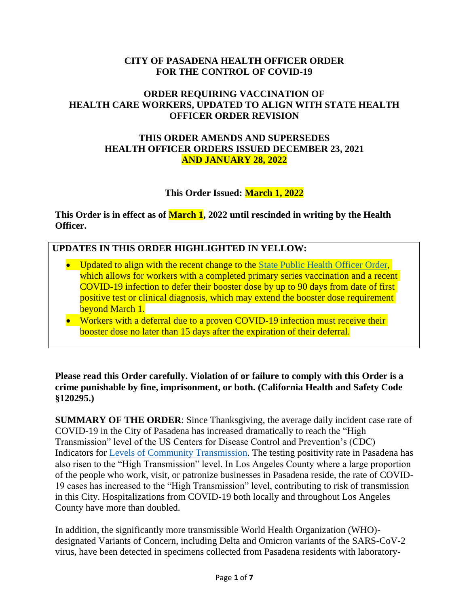### **CITY OF PASADENA HEALTH OFFICER ORDER FOR THE CONTROL OF COVID-19**

# **ORDER REQUIRING VACCINATION OF HEALTH CARE WORKERS, UPDATED TO ALIGN WITH STATE HEALTH OFFICER ORDER REVISION**

## **THIS ORDER AMENDS AND SUPERSEDES HEALTH OFFICER ORDERS ISSUED DECEMBER 23, 2021 AND JANUARY 28, 2022**

# **This Order Issued: March 1, 2022**

**This Order is in effect as of March 1, 2022 until rescinded in writing by the Health Officer.** 

## **UPDATES IN THIS ORDER HIGHLIGHTED IN YELLOW:**

- Updated to align with the recent change to the [State Public Health Officer Order,](https://www.cdph.ca.gov/Programs/CID/DCDC/Pages/COVID-19/Order-of-the-State-Public-Health-Officer-Health-Care-Worker-Vaccine-Requirement.aspx) which allows for workers with a completed primary series vaccination and a recent COVID-19 infection to defer their booster dose by up to 90 days from date of first positive test or clinical diagnosis, which may extend the booster dose requirement beyond March 1.
- Workers with a deferral due to a proven COVID-19 infection must receive their booster dose no later than 15 days after the expiration of their deferral.

#### **Please read this Order carefully. Violation of or failure to comply with this Order is a crime punishable by fine, imprisonment, or both. (California Health and Safety Code §120295.)**

**SUMMARY OF THE ORDER**: Since Thanksgiving, the average daily incident case rate of COVID-19 in the City of Pasadena has increased dramatically to reach the "High Transmission" level of the US Centers for Disease Control and Prevention's (CDC) Indicators for [Levels of Community Transmission.](https://covid.cdc.gov/covid-data-tracker/#county-view) The testing positivity rate in Pasadena has also risen to the "High Transmission" level. In Los Angeles County where a large proportion of the people who work, visit, or patronize businesses in Pasadena reside, the rate of COVID-19 cases has increased to the "High Transmission" level, contributing to risk of transmission in this City. Hospitalizations from COVID-19 both locally and throughout Los Angeles County have more than doubled.

In addition, the significantly more transmissible World Health Organization (WHO) designated Variants of Concern, including Delta and Omicron variants of the SARS-CoV-2 virus, have been detected in specimens collected from Pasadena residents with laboratory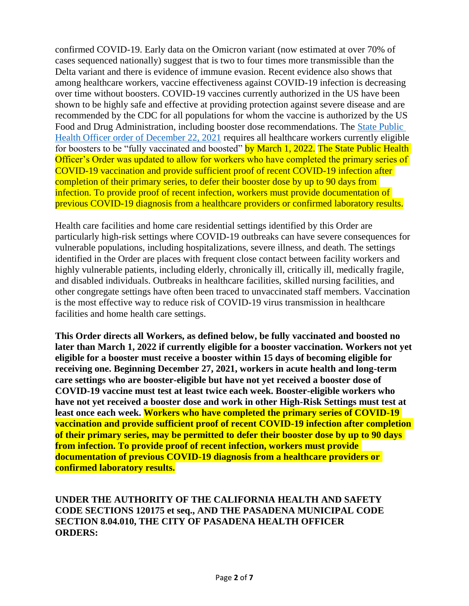confirmed COVID-19. Early data on the Omicron variant (now estimated at over 70% of cases sequenced nationally) suggest that is two to four times more transmissible than the Delta variant and there is evidence of immune evasion. Recent evidence also shows that among healthcare workers, vaccine effectiveness against COVID-19 infection is decreasing over time without boosters. COVID-19 vaccines currently authorized in the US have been shown to be highly safe and effective at providing protection against severe disease and are recommended by the CDC for all populations for whom the vaccine is authorized by the US Food and Drug Administration, including booster dose recommendations. The [State Public](https://www.cdph.ca.gov/Programs/CID/DCDC/Pages/COVID-19/Order-of-the-State-Public-Health-Officer-Health-Care-Worker-Vaccine-Requirement.aspx)  [Health Officer order of December 22, 2021](https://www.cdph.ca.gov/Programs/CID/DCDC/Pages/COVID-19/Order-of-the-State-Public-Health-Officer-Health-Care-Worker-Vaccine-Requirement.aspx) requires all healthcare workers currently eligible for boosters to be "fully vaccinated and boosted" by March 1, 2022. The State Public Health Officer's Order was updated to allow for workers who have completed the primary series of COVID-19 vaccination and provide sufficient proof of recent COVID-19 infection after completion of their primary series, to defer their booster dose by up to 90 days from infection. To provide proof of recent infection, workers must provide documentation of previous COVID-19 diagnosis from a healthcare providers or confirmed laboratory results.

Health care facilities and home care residential settings identified by this Order are particularly high-risk settings where COVID-19 outbreaks can have severe consequences for vulnerable populations, including hospitalizations, severe illness, and death. The settings identified in the Order are places with frequent close contact between facility workers and highly vulnerable patients, including elderly, chronically ill, critically ill, medically fragile, and disabled individuals. Outbreaks in healthcare facilities, skilled nursing facilities, and other congregate settings have often been traced to unvaccinated staff members. Vaccination is the most effective way to reduce risk of COVID-19 virus transmission in healthcare facilities and home health care settings.

**This Order directs all Workers, as defined below, be fully vaccinated and boosted no later than March 1, 2022 if currently eligible for a booster vaccination. Workers not yet eligible for a booster must receive a booster within 15 days of becoming eligible for receiving one. Beginning December 27, 2021, workers in acute health and long-term care settings who are booster-eligible but have not yet received a booster dose of COVID-19 vaccine must test at least twice each week. Booster-eligible workers who have not yet received a booster dose and work in other High-Risk Settings must test at least once each week. Workers who have completed the primary series of COVID-19 vaccination and provide sufficient proof of recent COVID-19 infection after completion of their primary series, may be permitted to defer their booster dose by up to 90 days from infection. To provide proof of recent infection, workers must provide documentation of previous COVID-19 diagnosis from a healthcare providers or confirmed laboratory results.**

**UNDER THE AUTHORITY OF THE CALIFORNIA HEALTH AND SAFETY CODE SECTIONS 120175 et seq., AND THE PASADENA MUNICIPAL CODE SECTION 8.04.010, THE CITY OF PASADENA HEALTH OFFICER ORDERS:**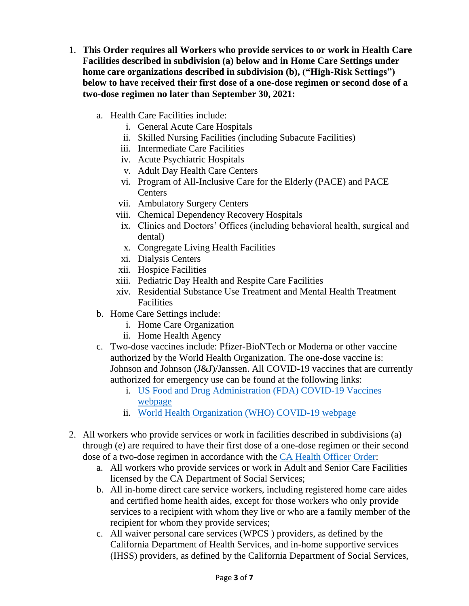- 1. **This Order requires all Workers who provide services to or work in Health Care Facilities described in subdivision (a) below and in Home Care Settings under home care organizations described in subdivision (b), ("High-Risk Settings") below to have received their first dose of a one-dose regimen or second dose of a two-dose regimen no later than September 30, 2021:**
	- a. Health Care Facilities include:
		- i. General Acute Care Hospitals
		- ii. Skilled Nursing Facilities (including Subacute Facilities)
		- iii. Intermediate Care Facilities
		- iv. Acute Psychiatric Hospitals
		- v. Adult Day Health Care Centers
		- vi. Program of All-Inclusive Care for the Elderly (PACE) and PACE **Centers**
		- vii. Ambulatory Surgery Centers
		- viii. Chemical Dependency Recovery Hospitals
		- ix. Clinics and Doctors' Offices (including behavioral health, surgical and dental)
		- x. Congregate Living Health Facilities
		- xi. Dialysis Centers
		- xii. Hospice Facilities
		- xiii. Pediatric Day Health and Respite Care Facilities
		- xiv. Residential Substance Use Treatment and Mental Health Treatment Facilities
	- b. Home Care Settings include:
		- i. Home Care Organization
		- ii. Home Health Agency
	- c. Two-dose vaccines include: Pfizer-BioNTech or Moderna or other vaccine authorized by the World Health Organization. The one-dose vaccine is: Johnson and Johnson (J&J)/Janssen. All COVID-19 vaccines that are currently authorized for emergency use can be found at the following links:
		- i. [US Food and Drug Administration \(FDA\) COVID-19 Vaccines](https://www.fda.gov/emergency-preparedness-and-response/coronavirus-disease-2019-covid-19/covid-19-vaccines)  [webpage](https://www.fda.gov/emergency-preparedness-and-response/coronavirus-disease-2019-covid-19/covid-19-vaccines)
		- ii. [World Health Organization \(WHO\) COVID-19 webpage](https://extranet.who.int/pqweb/vaccines/covid-19-vaccines)
- 2. All workers who provide services or work in facilities described in subdivisions (a) through (e) are required to have their first dose of a one-dose regimen or their second dose of a two-dose regimen in accordance with the [CA Health Officer Order:](https://www.cdph.ca.gov/Programs/CID/DCDC/Pages/COVID-19/Order-of-the-State-Public-Health-Officer-Adult-Care-Facilities-and-Direct-Care-Worker-Vaccine-Requirement.aspx)
	- a. All workers who provide services or work in Adult and Senior Care Facilities licensed by the CA Department of Social Services;
	- b. All in-home direct care service workers, including registered home care aides and certified home health aides, except for those workers who only provide services to a recipient with whom they live or who are a family member of the recipient for whom they provide services;
	- c. All waiver personal care services (WPCS ) providers, as defined by the California Department of Health Services, and in-home supportive services (IHSS) providers, as defined by the California Department of Social Services,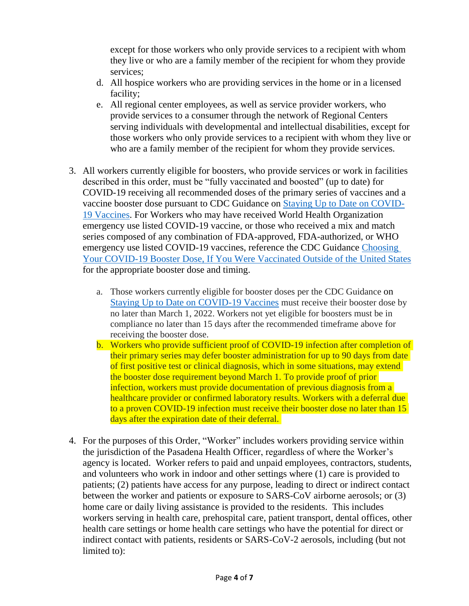except for those workers who only provide services to a recipient with whom they live or who are a family member of the recipient for whom they provide services;

- d. All hospice workers who are providing services in the home or in a licensed facility;
- e. All regional center employees, as well as service provider workers, who provide services to a consumer through the network of Regional Centers serving individuals with developmental and intellectual disabilities, except for those workers who only provide services to a recipient with whom they live or who are a family member of the recipient for whom they provide services.
- 3. All workers currently eligible for boosters, who provide services or work in facilities described in this order, must be "fully vaccinated and boosted" (up to date) for COVID-19 receiving all recommended doses of the primary series of vaccines and a vaccine booster dose pursuant to CDC Guidance on [Staying Up to Date on COVID-](https://www.cdc.gov/coronavirus/2019-ncov/vaccines/stay-up-to-date.html)[19 Vaccines.](https://www.cdc.gov/coronavirus/2019-ncov/vaccines/stay-up-to-date.html) For Workers who may have received World Health Organization emergency use listed COVID-19 vaccine, or those who received a mix and match series composed of any combination of FDA-approved, FDA-authorized, or WHO emergency use listed COVID-19 vaccines, reference the CDC Guidance [Choosing](https://www.cdc.gov/coronavirus/2019-ncov/vaccines/booster-shot.html?s_cid=11706:cdc%20covid%20booster%20dose:sem.ga:p:RG:GM:gen:PTN:FY22)  [Your COVID-19 Booster Dose, If You Were Vaccinated Outside of the](https://www.cdc.gov/coronavirus/2019-ncov/vaccines/booster-shot.html?s_cid=11706:cdc%20covid%20booster%20dose:sem.ga:p:RG:GM:gen:PTN:FY22) United States for the appropriate booster dose and timing.
	- a. Those workers currently eligible for booster doses per the CDC Guidance on [Staying Up to Date on COVID-19 Vaccines](https://www.cdc.gov/coronavirus/2019-ncov/vaccines/stay-up-to-date.html) must receive their booster dose by no later than March 1, 2022. Workers not yet eligible for boosters must be in compliance no later than 15 days after the recommended timeframe above for receiving the booster dose.
	- b. Workers who provide sufficient proof of COVID-19 infection after completion of their primary series may defer booster administration for up to 90 days from date of first positive test or clinical diagnosis, which in some situations, may extend the booster dose requirement beyond March 1. To provide proof of prior infection, workers must provide documentation of previous diagnosis from a healthcare provider or confirmed laboratory results. Workers with a deferral due to a proven COVID-19 infection must receive their booster dose no later than 15 days after the expiration date of their deferral.
- 4. For the purposes of this Order, "Worker" includes workers providing service within the jurisdiction of the Pasadena Health Officer, regardless of where the Worker's agency is located. Worker refers to paid and unpaid employees, contractors, students, and volunteers who work in indoor and other settings where (1) care is provided to patients; (2) patients have access for any purpose, leading to direct or indirect contact between the worker and patients or exposure to SARS-CoV airborne aerosols; or (3) home care or daily living assistance is provided to the residents. This includes workers serving in health care, prehospital care, patient transport, dental offices, other health care settings or home health care settings who have the potential for direct or indirect contact with patients, residents or SARS-CoV-2 aerosols, including (but not limited to):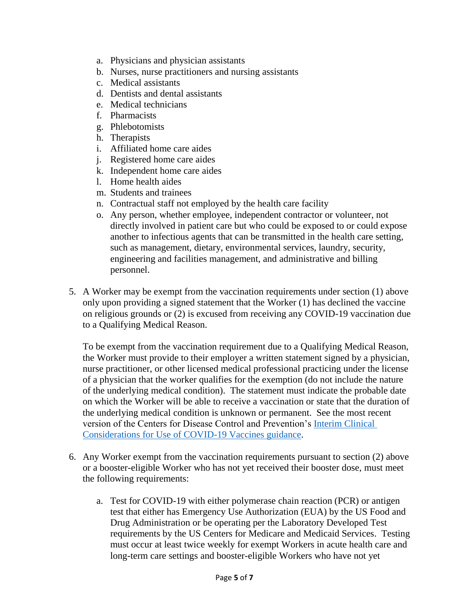- a. Physicians and physician assistants
- b. Nurses, nurse practitioners and nursing assistants
- c. Medical assistants
- d. Dentists and dental assistants
- e. Medical technicians
- f. Pharmacists
- g. Phlebotomists
- h. Therapists
- i. Affiliated home care aides
- j. Registered home care aides
- k. Independent home care aides
- l. Home health aides
- m. Students and trainees
- n. Contractual staff not employed by the health care facility
- o. Any person, whether employee, independent contractor or volunteer, not directly involved in patient care but who could be exposed to or could expose another to infectious agents that can be transmitted in the health care setting, such as management, dietary, environmental services, laundry, security, engineering and facilities management, and administrative and billing personnel.
- 5. A Worker may be exempt from the vaccination requirements under section (1) above only upon providing a signed statement that the Worker (1) has declined the vaccine on religious grounds or (2) is excused from receiving any COVID-19 vaccination due to a Qualifying Medical Reason.

To be exempt from the vaccination requirement due to a Qualifying Medical Reason, the Worker must provide to their employer a written statement signed by a physician, nurse practitioner, or other licensed medical professional practicing under the license of a physician that the worker qualifies for the exemption (do not include the nature of the underlying medical condition). The statement must indicate the probable date on which the Worker will be able to receive a vaccination or state that the duration of the underlying medical condition is unknown or permanent. See the most recent version of the Centers for Disease Control and Prevention's [Interim Clinical](https://www.cdc.gov/vaccines/covid-19/clinical-considerations/covid-19-vaccines-us.html?CDC_AA_refVal=https%3A%2F%2Fwww.cdc.gov%2Fvaccines%2Fcovid-19%2Finfo-by-product%2Fclinical-considerations.html)  [Considerations for Use of COVID-19 Vaccines guidance.](https://www.cdc.gov/vaccines/covid-19/clinical-considerations/covid-19-vaccines-us.html?CDC_AA_refVal=https%3A%2F%2Fwww.cdc.gov%2Fvaccines%2Fcovid-19%2Finfo-by-product%2Fclinical-considerations.html)

- 6. Any Worker exempt from the vaccination requirements pursuant to section (2) above or a booster-eligible Worker who has not yet received their booster dose, must meet the following requirements:
	- a. Test for COVID-19 with either polymerase chain reaction (PCR) or antigen test that either has Emergency Use Authorization (EUA) by the US Food and Drug Administration or be operating per the Laboratory Developed Test requirements by the US Centers for Medicare and Medicaid Services. Testing must occur at least twice weekly for exempt Workers in acute health care and long-term care settings and booster-eligible Workers who have not yet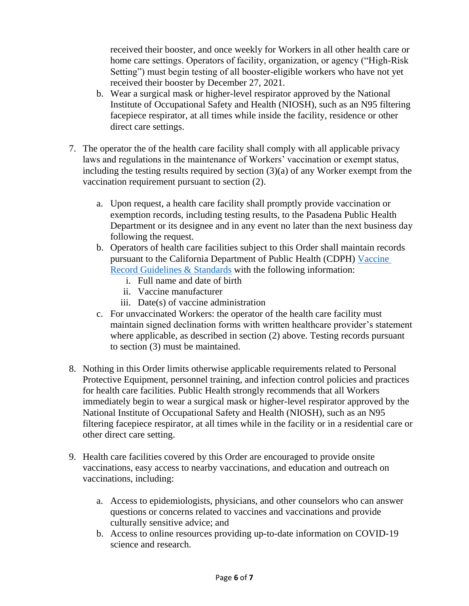received their booster, and once weekly for Workers in all other health care or home care settings. Operators of facility, organization, or agency ("High-Risk Setting") must begin testing of all booster-eligible workers who have not yet received their booster by December 27, 2021.

- b. Wear a surgical mask or higher-level respirator approved by the National Institute of Occupational Safety and Health (NIOSH), such as an N95 filtering facepiece respirator, at all times while inside the facility, residence or other direct care settings.
- 7. The operator the of the health care facility shall comply with all applicable privacy laws and regulations in the maintenance of Workers' vaccination or exempt status, including the testing results required by section (3)(a) of any Worker exempt from the vaccination requirement pursuant to section (2).
	- a. Upon request, a health care facility shall promptly provide vaccination or exemption records, including testing results, to the Pasadena Public Health Department or its designee and in any event no later than the next business day following the request.
	- b. Operators of health care facilities subject to this Order shall maintain records pursuant to the California Department of Public Health (CDPH) [Vaccine](https://www.cdph.ca.gov/Programs/CID/DCDC/Pages/COVID-19/Vaccine-Record-Guidelines-Standards.aspx)  [Record Guidelines & Standards](https://www.cdph.ca.gov/Programs/CID/DCDC/Pages/COVID-19/Vaccine-Record-Guidelines-Standards.aspx) with the following information:
		- i. Full name and date of birth
		- ii. Vaccine manufacturer
		- iii. Date(s) of vaccine administration
	- c. For unvaccinated Workers: the operator of the health care facility must maintain signed declination forms with written healthcare provider's statement where applicable, as described in section (2) above. Testing records pursuant to section (3) must be maintained.
- 8. Nothing in this Order limits otherwise applicable requirements related to Personal Protective Equipment, personnel training, and infection control policies and practices for health care facilities. Public Health strongly recommends that all Workers immediately begin to wear a surgical mask or higher-level respirator approved by the National Institute of Occupational Safety and Health (NIOSH), such as an N95 filtering facepiece respirator, at all times while in the facility or in a residential care or other direct care setting.
- 9. Health care facilities covered by this Order are encouraged to provide onsite vaccinations, easy access to nearby vaccinations, and education and outreach on vaccinations, including:
	- a. Access to epidemiologists, physicians, and other counselors who can answer questions or concerns related to vaccines and vaccinations and provide culturally sensitive advice; and
	- b. Access to online resources providing up-to-date information on COVID-19 science and research.